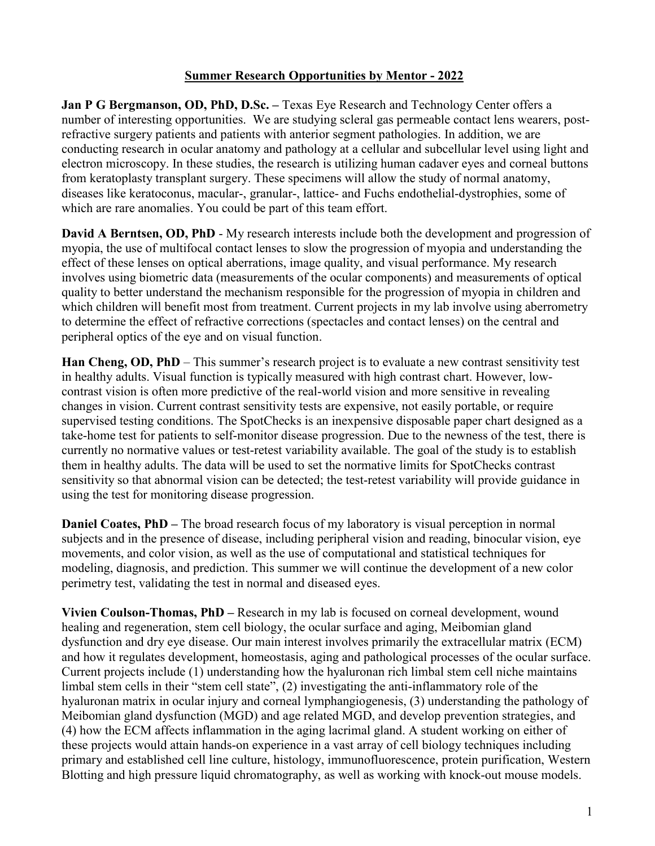## **Summer Research Opportunities by Mentor - 2022**

**Jan P G Bergmanson, OD, PhD, D.Sc. –** Texas Eye Research and Technology Center offers a number of interesting opportunities. We are studying scleral gas permeable contact lens wearers, postrefractive surgery patients and patients with anterior segment pathologies. In addition, we are conducting research in ocular anatomy and pathology at a cellular and subcellular level using light and electron microscopy. In these studies, the research is utilizing human cadaver eyes and corneal buttons from keratoplasty transplant surgery. These specimens will allow the study of normal anatomy, diseases like keratoconus, macular-, granular-, lattice- and Fuchs endothelial-dystrophies, some of which are rare anomalies. You could be part of this team effort.

**David A Berntsen, OD, PhD** - My research interests include both the development and progression of myopia, the use of multifocal contact lenses to slow the progression of myopia and understanding the effect of these lenses on optical aberrations, image quality, and visual performance. My research involves using biometric data (measurements of the ocular components) and measurements of optical quality to better understand the mechanism responsible for the progression of myopia in children and which children will benefit most from treatment. Current projects in my lab involve using aberrometry to determine the effect of refractive corrections (spectacles and contact lenses) on the central and peripheral optics of the eye and on visual function.

**Han Cheng, OD, PhD** – This summer's research project is to evaluate a new contrast sensitivity test in healthy adults. Visual function is typically measured with high contrast chart. However, lowcontrast vision is often more predictive of the real-world vision and more sensitive in revealing changes in vision. Current contrast sensitivity tests are expensive, not easily portable, or require supervised testing conditions. The SpotChecks is an inexpensive disposable paper chart designed as a take-home test for patients to self-monitor disease progression. Due to the newness of the test, there is currently no normative values or test-retest variability available. The goal of the study is to establish them in healthy adults. The data will be used to set the normative limits for SpotChecks contrast sensitivity so that abnormal vision can be detected; the test-retest variability will provide guidance in using the test for monitoring disease progression.

**Daniel Coates, PhD** – The broad research focus of my laboratory is visual perception in normal subjects and in the presence of disease, including peripheral vision and reading, binocular vision, eye movements, and color vision, as well as the use of computational and statistical techniques for modeling, diagnosis, and prediction. This summer we will continue the development of a new color perimetry test, validating the test in normal and diseased eyes.

**Vivien Coulson-Thomas, PhD –** Research in my lab is focused on corneal development, wound healing and regeneration, stem cell biology, the ocular surface and aging, Meibomian gland dysfunction and dry eye disease. Our main interest involves primarily the extracellular matrix (ECM) and how it regulates development, homeostasis, aging and pathological processes of the ocular surface. Current projects include (1) understanding how the hyaluronan rich limbal stem cell niche maintains limbal stem cells in their "stem cell state", (2) investigating the anti-inflammatory role of the hyaluronan matrix in ocular injury and corneal lymphangiogenesis, (3) understanding the pathology of Meibomian gland dysfunction (MGD) and age related MGD, and develop prevention strategies, and (4) how the ECM affects inflammation in the aging lacrimal gland. A student working on either of these projects would attain hands-on experience in a vast array of cell biology techniques including primary and established cell line culture, histology, immunofluorescence, protein purification, Western Blotting and high pressure liquid chromatography, as well as working with knock-out mouse models.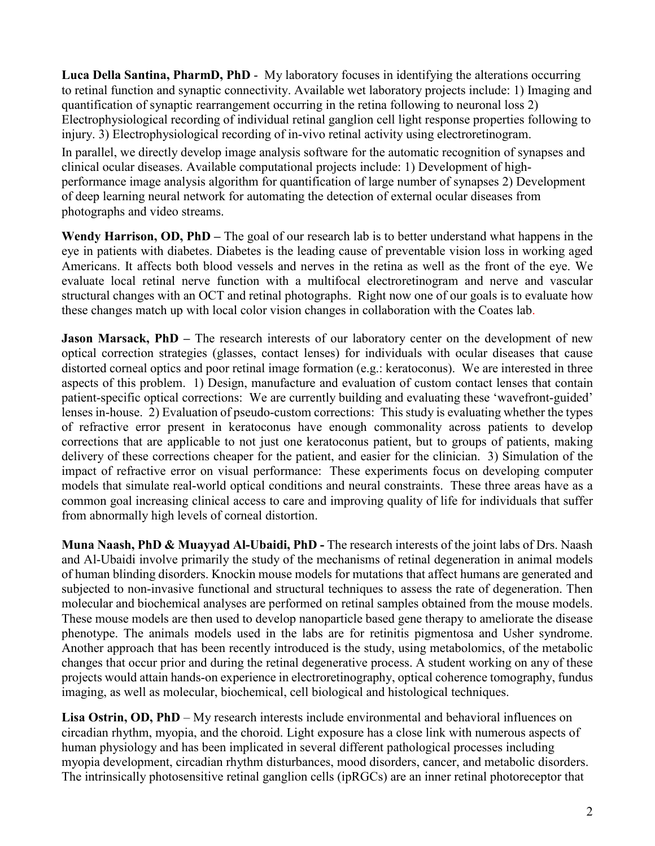**Luca Della Santina, PharmD, PhD** - My laboratory focuses in identifying the alterations occurring to retinal function and synaptic connectivity. Available wet laboratory projects include: 1) Imaging and quantification of synaptic rearrangement occurring in the retina following to neuronal loss 2) Electrophysiological recording of individual retinal ganglion cell light response properties following to injury. 3) Electrophysiological recording of in-vivo retinal activity using electroretinogram. In parallel, we directly develop image analysis software for the automatic recognition of synapses and clinical ocular diseases. Available computational projects include: 1) Development of highperformance image analysis algorithm for quantification of large number of synapses 2) Development of deep learning neural network for automating the detection of external ocular diseases from photographs and video streams.

**Wendy Harrison, OD, PhD –** The goal of our research lab is to better understand what happens in the eye in patients with diabetes. Diabetes is the leading cause of preventable vision loss in working aged Americans. It affects both blood vessels and nerves in the retina as well as the front of the eye. We evaluate local retinal nerve function with a multifocal electroretinogram and nerve and vascular structural changes with an OCT and retinal photographs. Right now one of our goals is to evaluate how these changes match up with local color vision changes in collaboration with the Coates lab.

**Jason Marsack, PhD** – The research interests of our laboratory center on the development of new optical correction strategies (glasses, contact lenses) for individuals with ocular diseases that cause distorted corneal optics and poor retinal image formation (e.g.: keratoconus). We are interested in three aspects of this problem. 1) Design, manufacture and evaluation of custom contact lenses that contain patient-specific optical corrections: We are currently building and evaluating these 'wavefront-guided' lenses in-house. 2) Evaluation of pseudo-custom corrections: This study is evaluating whether the types of refractive error present in keratoconus have enough commonality across patients to develop corrections that are applicable to not just one keratoconus patient, but to groups of patients, making delivery of these corrections cheaper for the patient, and easier for the clinician. 3) Simulation of the impact of refractive error on visual performance: These experiments focus on developing computer models that simulate real-world optical conditions and neural constraints. These three areas have as a common goal increasing clinical access to care and improving quality of life for individuals that suffer from abnormally high levels of corneal distortion.

**Muna Naash, PhD & Muayyad Al-Ubaidi, PhD -** The research interests of the joint labs of Drs. Naash and Al-Ubaidi involve primarily the study of the mechanisms of retinal degeneration in animal models of human blinding disorders. Knockin mouse models for mutations that affect humans are generated and subjected to non-invasive functional and structural techniques to assess the rate of degeneration. Then molecular and biochemical analyses are performed on retinal samples obtained from the mouse models. These mouse models are then used to develop nanoparticle based gene therapy to ameliorate the disease phenotype. The animals models used in the labs are for retinitis pigmentosa and Usher syndrome. Another approach that has been recently introduced is the study, using metabolomics, of the metabolic changes that occur prior and during the retinal degenerative process. A student working on any of these projects would attain hands-on experience in electroretinography, optical coherence tomography, fundus imaging, as well as molecular, biochemical, cell biological and histological techniques.

**Lisa Ostrin, OD, PhD** – My research interests include environmental and behavioral influences on circadian rhythm, myopia, and the choroid. Light exposure has a close link with numerous aspects of human physiology and has been implicated in several different pathological processes including myopia development, circadian rhythm disturbances, mood disorders, cancer, and metabolic disorders. The intrinsically photosensitive retinal ganglion cells (ipRGCs) are an inner retinal photoreceptor that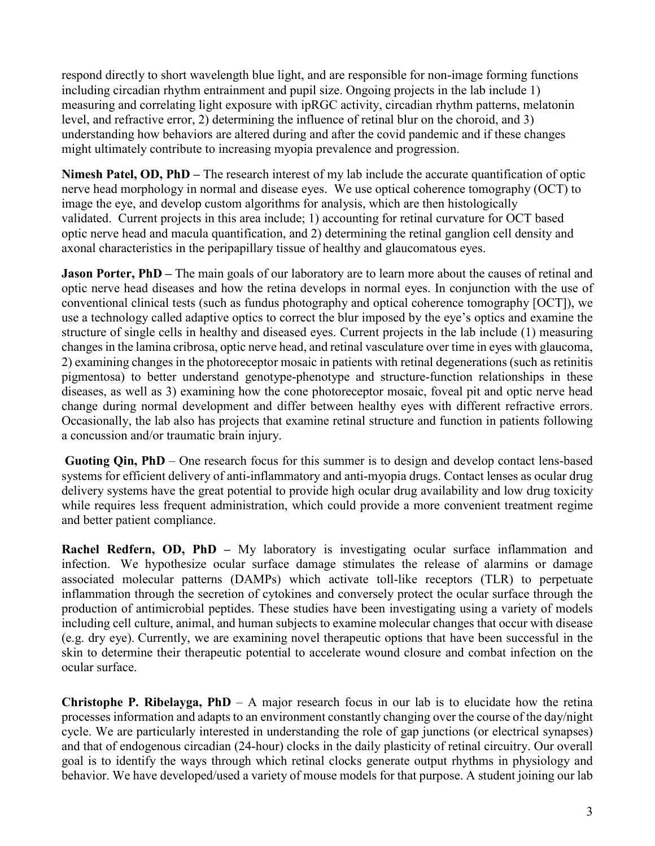respond directly to short wavelength blue light, and are responsible for non-image forming functions including circadian rhythm entrainment and pupil size. Ongoing projects in the lab include 1) measuring and correlating light exposure with ipRGC activity, circadian rhythm patterns, melatonin level, and refractive error, 2) determining the influence of retinal blur on the choroid, and 3) understanding how behaviors are altered during and after the covid pandemic and if these changes might ultimately contribute to increasing myopia prevalence and progression.

**Nimesh Patel, OD, PhD –** The research interest of my lab include the accurate quantification of optic nerve head morphology in normal and disease eyes. We use optical coherence tomography (OCT) to image the eye, and develop custom algorithms for analysis, which are then histologically validated. Current projects in this area include; 1) accounting for retinal curvature for OCT based optic nerve head and macula quantification, and 2) determining the retinal ganglion cell density and axonal characteristics in the peripapillary tissue of healthy and glaucomatous eyes.

**Jason Porter, PhD** – The main goals of our laboratory are to learn more about the causes of retinal and optic nerve head diseases and how the retina develops in normal eyes. In conjunction with the use of conventional clinical tests (such as fundus photography and optical coherence tomography [OCT]), we use a technology called adaptive optics to correct the blur imposed by the eye's optics and examine the structure of single cells in healthy and diseased eyes. Current projects in the lab include (1) measuring changes in the lamina cribrosa, optic nerve head, and retinal vasculature over time in eyes with glaucoma, 2) examining changes in the photoreceptor mosaic in patients with retinal degenerations (such as retinitis pigmentosa) to better understand genotype-phenotype and structure-function relationships in these diseases, as well as 3) examining how the cone photoreceptor mosaic, foveal pit and optic nerve head change during normal development and differ between healthy eyes with different refractive errors. Occasionally, the lab also has projects that examine retinal structure and function in patients following a concussion and/or traumatic brain injury.

**Guoting Qin, PhD** – One research focus for this summer is to design and develop contact lens-based systems for efficient delivery of anti-inflammatory and anti-myopia drugs. Contact lenses as ocular drug delivery systems have the great potential to provide high ocular drug availability and low drug toxicity while requires less frequent administration, which could provide a more convenient treatment regime and better patient compliance.

**Rachel Redfern, OD, PhD –** My laboratory is investigating ocular surface inflammation and infection. We hypothesize ocular surface damage stimulates the release of alarmins or damage associated molecular patterns (DAMPs) which activate toll-like receptors (TLR) to perpetuate inflammation through the secretion of cytokines and conversely protect the ocular surface through the production of antimicrobial peptides. These studies have been investigating using a variety of models including cell culture, animal, and human subjects to examine molecular changes that occur with disease (e.g. dry eye). Currently, we are examining novel therapeutic options that have been successful in the skin to determine their therapeutic potential to accelerate wound closure and combat infection on the ocular surface.

**Christophe P. Ribelayga, PhD** – A major research focus in our lab is to elucidate how the retina processes information and adapts to an environment constantly changing over the course of the day/night cycle. We are particularly interested in understanding the role of gap junctions (or electrical synapses) and that of endogenous circadian (24-hour) clocks in the daily plasticity of retinal circuitry. Our overall goal is to identify the ways through which retinal clocks generate output rhythms in physiology and behavior. We have developed/used a variety of mouse models for that purpose. A student joining our lab